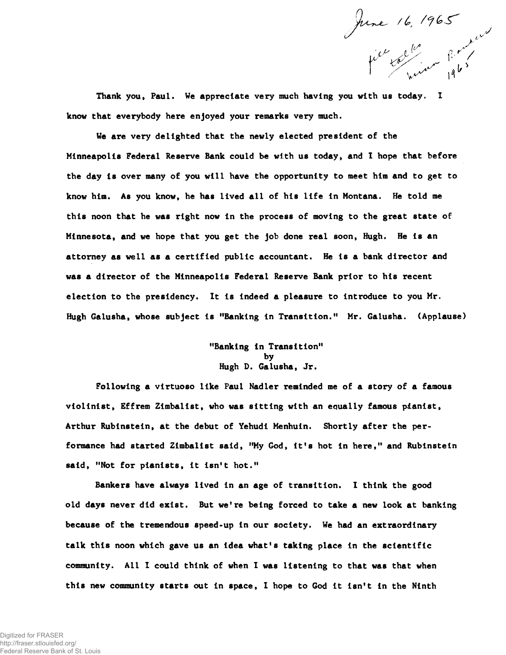June 16, 1965

Thank you, Paul. We appreciate very much having you with us today. I know that everybody here enjoyed your remarks very much.

We are very delighted that the newly elected president of the Minneapolis Federal Reserve Bank could be with us today, and I hope that before the day Is over many of you will have the opportunity to meet him and to get to know him. As you know, he has lived all of his life In Montana. He told me this noon that he was right now In the process of moving to the great state of Minnesota, and we hope that you get the job done real soon, Hugh. He Is an attorney as well as a certified public accountant. He is a bank director and was a director of the Minneapolis Federal Reserve Bank prior to his recent election to the presidency. It is indeed a pleasure to Introduce to you Mr. Hugh Galusha, whose subject is "Banking in Transition." Mr. Galusha. (Applause)

## "Banking In Transition" by Hugh D. Galusha, Jr.

Following a virtuoso like Paul Nadler reminded me of a story of a famous violinist, Effrem Zlmballst, who was sitting with an equally famous pianist, Arthur Rubinstein, at the debut of Yehudi Menhuin. Shortly after the performance had started Zlmballst said, "My God, it's hot In here," and Rubinstein said, "Not for pianists, it isn't hot."

Bankers have always lived in an age of transition. I think the good old days never did exist. But we're being forced to take a new look at banking because of the tremendous speed-up in our society. We had an extraordinary talk this noon which gave us an idea what's taking place in the scientific community. All 1 could think of when I was listening to that was that when this new community starts out in space, I hope to God it isn't in the Ninth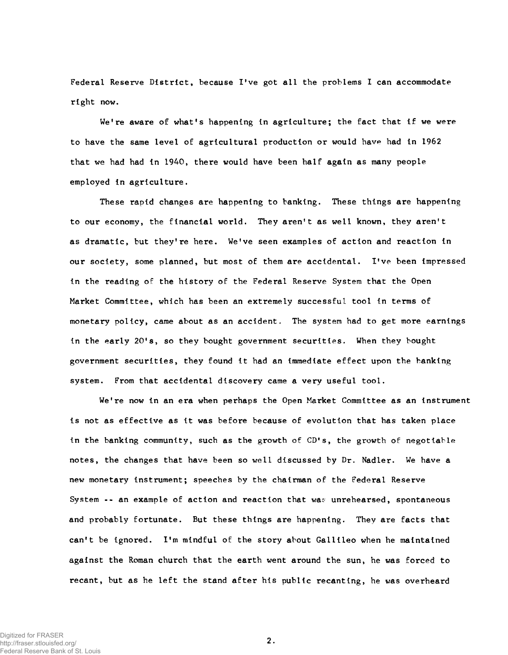Federal Reserve District, because I've got all the problems I can accommodate right now.

We're aware of what's happening in agriculture; the fact that if we were to have the same level of agricultural production or would have had in 1962 that we had had in 1940, there would have been half again as many people employed in agriculture.

These rapid changes are happening to banking. These things are happening to our economy, the financial world. They aren't as well known, they aren't as dramatic, but they're here. We've seen examples of action and reaction in our society, some planned, but most of them are accidental. I've been impressed in the reading of the history of the Federal Reserve System that the Open Market Committee, which has been an extremely successful tool in terms of monetary policy, came about as an accident. The system had to get more earnings in the early 20's, so they bought government securities. When they bought government securities, they found it had an immediate effect upon the banking system. From that accidental discovery came a very useful tool.

We're now in an era when perhaps the Open Market Committee as an instrument is not as effective as it was before because of evolution that has taken place in the banking community, such as the growth of CD's, the growth of negotiable notes, the changes that have been so well discussed by Dr. Nadler. We have a new monetary instrument; speeches by the chairman of the Federal Reserve System  $\cdots$  an example of action and reaction that was unrehearsed, spontaneous and probably fortunate. But these things are happening. They are facts that can't be ignored. I'm mindful of the story about Gallileo when he maintained against the Roman church that the earth went around the sun, he was forced to recant, but as he left the stand after his public recanting, he was overheard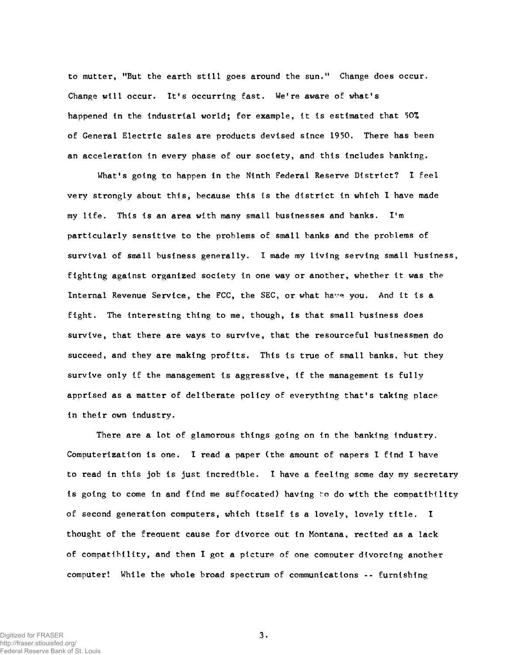to mutter, "But the earth still goes around the sun ." Change does occur. Change will occur. It's occurring fast. We're aware of what's happened in the industrial world; for example, it is estimated that 50% of General Electric sales are products devised since 1950. There has been an acceleration in every phase of our society, and this includes banking.

What's going to happen in the Ninth Federal Reserve District? I feel very strongly about this, because this is the district in which I have made my life. This is an area with many small businesses and banks. I'm particularly sensitive to the problems of small banks and the problems of survival of small business generally. I made my living serving small business, fighting against organized society in one way or another, whether it was the Internal Revenue Service, the FCC, the SEC, or what have you. And it is a fight. The interesting thing to me, though, is that small business does survive, that there are ways to survive, that the resourceful businessmen do succeed, and they are making profits. This is true of small banks, but they survive only if the management is aggressive, if the management is fully apprised as a matter of deliberate policy of everything that's taking place in their own industry.

There are a lot of glamorous things going on in the banking industry. Computerization is one. I read a paper (the amount of papers I find I have to read in this job is just incredible. I have a feeling some day my secretary is going to come in and find me suffocated) having to do with the compatibility of second generation computers, which itself is a lovely, lovely title. I thought of the freauent cause for divorce out in Montana, recited as a lack of compatibility, and then I got a picture of one computer divorcing another computer! While the whole broad spectrum of communications -- furnishing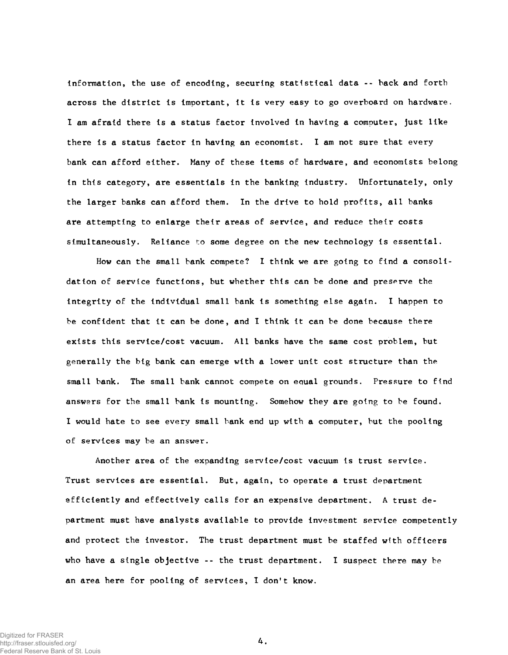Information, the use of encoding, securing statistical data -- back and forth across the district is important, it is very easy to go overboard on hardware. I am afraid there is a status factor involved in having a computer, just like there is a status factor in having an economist. I am not sure that every bank can afford either. Many of these items of hardware, and economists belong in this category, are essentials in the banking industry. Unfortunately, only the larger banks can afford them. In the drive to hold profits, ail banks are attempting to enlarge their areas of service, and reduce their costs simultaneously. Reliance to some degree on the new technology is essential.

How can the small bank compete? I think we are going to find a consolidation of service functions, but whether this can be done and preserve the integrity of the individual small bank is something else again. I happen to be confident that it can be done, and I think it can be done because there exists this service/cost vacuum. All banks have the same cost problem, but generally the big bank can emerge with a lower unit cost structure than the small bank. The small bank cannot compete on equal grounds. Pressure to find answers for the small bank is mounting. Somehow they are going to be found. I would hate to see every small bank end up with a computer, but the pooling of services may be an answer.

Another area of the expanding service/cost vacuum is trust service. Trust services are essential. But, again, to operate a trust department efficiently and effectively calls for an expensive department. A trust department must have analysts available to provide investment service competently and protect the investor. The trust department must be staffed with officers who have a single objective  $-$ - the trust department. I suspect there may be an area here for pooling of services, I don't know.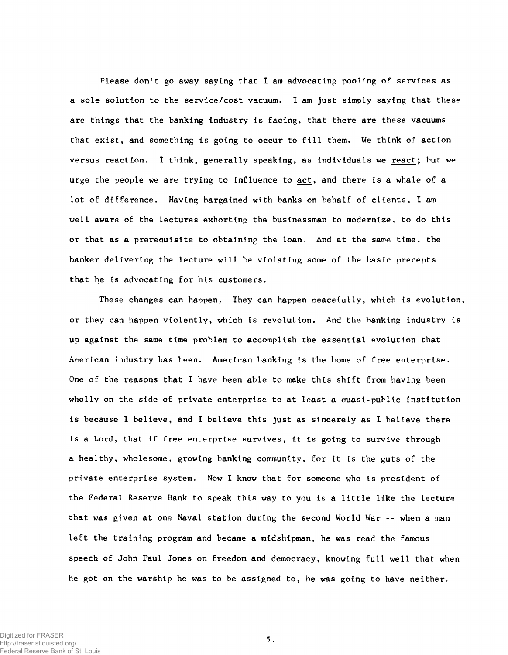Please don't go away saying that I am advocating pooling of services as a sole solution to the service/cost vacuum. I am just simply saying that these are things that the banking industry is facing, that there are these vacuums that exist, and something is going to occur to fill them. We think of action versus reaction. I think, generally speaking, as individuals we react; but we urge the people we are trying to influence to act, and there is a whale of a lot of difference. Having bargained with banks on behalf of clients, I am well aware of the lectures exhorting the businessman to modernize, to do this or that as a prerequisite to obtaining the loan. And at the same time, the banker delivering the lecture will be violating some of the basic precepts that he is advocating for his customers.

These changes can happen. They can happen peacefully, which is evolution, or they can happen violently, which is revolution. And the banking industry is up against the same time problem to a ccomplish the essential evolution that American industry has been. American banking is the home of free enterprise. One of the reasons that I have been able to make this shift from having been wholly on the side of private enterprise to at least a quasi-public institution is because I believe, and I believe this just as sincerely as I believe there is a Lord, that if free enterprise survives, it is going to survive through a healthy, wholesome, growing banking community, for it is the guts of the private enterprise system. Now I know that for someone who is president of the Federal Reserve Bank to speak this way to you is a little like the lecture that was given at one Naval station during the second World War -- when a man left the training program and became a midshipman, he was read the famous speech of John Paul Jones on freedom and democracy, knowing full well that when he got on the warship he was to be assigned to, he was going to have neither.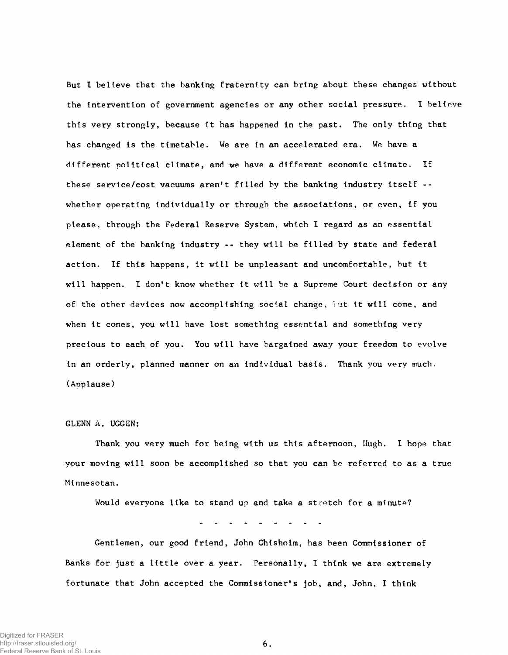But I believe that the banking fraternity can bring about these changes without the intervention of government agencies or any other social pressure. I believe this very strongly, because it has happened in the past. The only thing that has changed is the timetable. We are in an accelerated era. We have a different political climate, and we have a different economic climate. If these service/cost vacuums aren't filled by the banking industry itself whether operating individually or through the associations, or even, if you please, through the Federal Reserve System, which I regard as an essential element of the banking industry -- they will be filled by state and federal action. If this happens, it will be unpleasant and uncomfortable, but it will happen. I don't know whether it will be a Supreme Court decision or any of the other devices now accomplishing social change, but it will come, and when it comes, you will have lost something essential and something very precious to each of you. You will have bargained away your freedom to evolve in an orderly, planned manner on an individual basis. Thank you very much. (Applause)

## GLENN A. UGGEN:

Thank you very much for being with us this afternoon, Hugh. I hope that your moving will soon be accomplished so that you can be referred to as a true Minnesotan.

Would everyone like to stand up and take a stretch for a minute?

Gentlemen, our good friend, John Chisholm, has been Commissioner of Banks for just a little over a year. Personally, I think we are extremely fortunate that John accepted the Commissioner's job, and, John, I think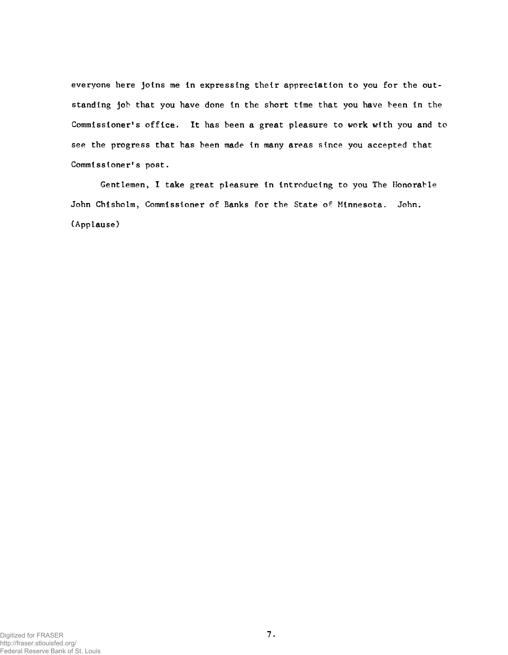everyone here joins me in expressing their appreciation to you for the outstanding job that you have done in the short time that you have been in the Commissioner's office. It has been a great pleasure to work with you and to see the progress that has been made in many areas since you accepted that Commissioner's post.

Gentlemen, I take great pleasure in introducing to you The Honorable John Chisholm, Commissioner of Banks for the State of Minnesota. John. (Applause)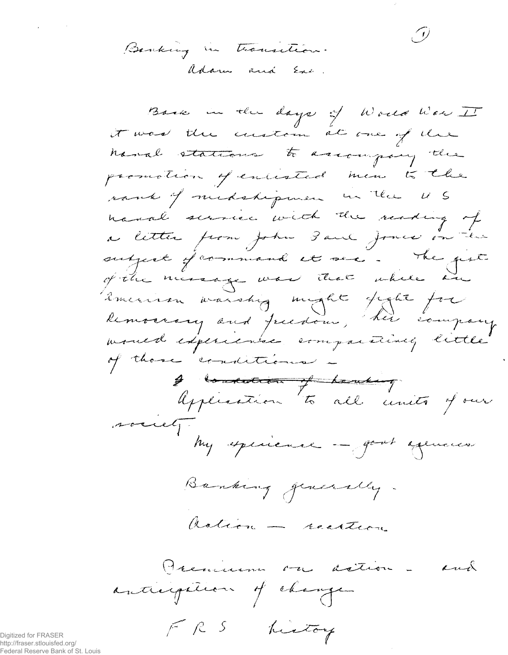Benking in transition. adam and Exe.

 $F R S$ 

Back in the days of World War I it was the custom at one of the hand stations to assompting the promotion of entireled men to the rank of medshipmen in the US hand service with the reading of a litter from John Paul Jones on the subject of command it see. The gest of the message was that while an imerican warship might fight for kemoarary and freedom, her company moued experience comparatively lettle of those conditions -I consider to all units of our society hy specieve - godt equeus Banking generally. astion - recettion Premium on action. and

heatoy

D)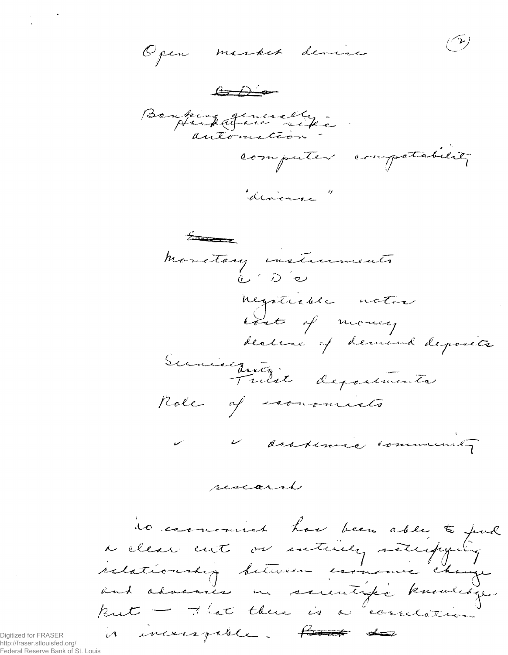(r) Open misset dévise  $\begin{picture}(120,10) \put(0,0){\line(1,0){10}} \put(15,0){\line(1,0){10}} \put(15,0){\line(1,0){10}} \put(15,0){\line(1,0){10}} \put(15,0){\line(1,0){10}} \put(15,0){\line(1,0){10}} \put(15,0){\line(1,0){10}} \put(15,0){\line(1,0){10}} \put(15,0){\line(1,0){10}} \put(15,0){\line(1,0){10}} \put(15,0){\line(1,0){10}} \put(15,0){\line($ Banking quincelly computer compatables divorce"

Entre 1 monetary instruments  $0.702$ negotiable notes lost of money decline of demand deposits Suniseanty departments Role of community V deskemie community

research

io comment has been able to find<br>a clear cut or entirely satisfying relationship between essencial change and advances in sommitiger knowledge. But - That there is a "correlation is increagable. Haut to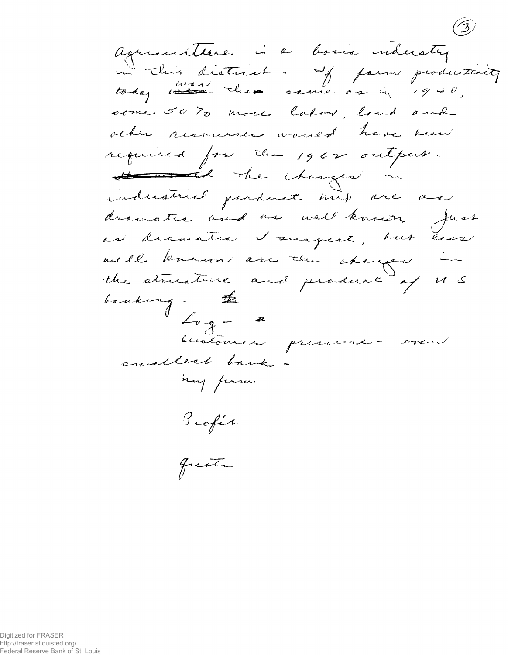aguerrettere is a bosis industry in this district - If form productivity some 50% more labor, land and other resources would have been required for the 1962 output. He changes in industrial pardment mix are an dramatic and as well known. Just as dramatic I suspect, but less well known are the changed the structure and product of U.S banking. the  $\mathcal{L}_{a\cdots a}=-a$ historice pressure suilled bank may from Profit

quote